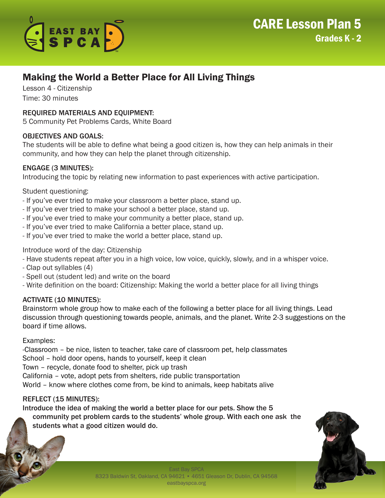

# Making the World a Better Place for All Living Things

Lesson 4 - Citizenship Time: 30 minutes

## REQUIRED MATERIALS AND EQUIPMENT:

5 Community Pet Problems Cards, White Board

## OBJECTIVES AND GOALS:

The students will be able to define what being a good citizen is, how they can help animals in their community, and how they can help the planet through citizenship.

## ENGAGE (3 MINUTES):

Introducing the topic by relating new information to past experiences with active participation.

## Student questioning:

- If you've ever tried to make your classroom a better place, stand up.
- If you've ever tried to make your school a better place, stand up.
- If you've ever tried to make your community a better place, stand up.
- If you've ever tried to make California a better place, stand up.
- If you've ever tried to make the world a better place, stand up.

## Introduce word of the day: Citizenship

- Have students repeat after you in a high voice, low voice, quickly, slowly, and in a whisper voice.
- Clap out syllables (4)
- Spell out (student led) and write on the board
- Write definition on the board: Citizenship: Making the world a better place for all living things

## ACTIVATE (10 MINUTES):

Brainstorm whole group how to make each of the following a better place for all living things. Lead discussion through questioning towards people, animals, and the planet. Write 2-3 suggestions on the board if time allows.

## Examples:

-Classroom – be nice, listen to teacher, take care of classroom pet, help classmates School – hold door opens, hands to yourself, keep it clean Town – recycle, donate food to shelter, pick up trash California – vote, adopt pets from shelters, ride public transportation World – know where clothes come from, be kind to animals, keep habitats alive

## REFLECT (15 MINUTES):

Introduce the idea of making the world a better place for our pets. Show the 5 community pet problem cards to the students' whole group. With each one ask the students what a good citizen would do.